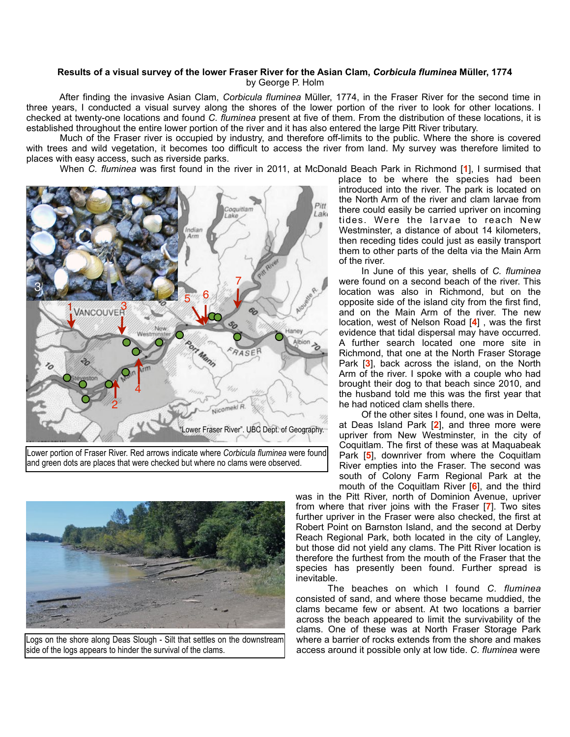## **Results of a visual survey of the lower Fraser River for the Asian Clam,** *Corbicula fluminea* **Müller, 1774**  by George P. Holm

 After finding the invasive Asian Clam, *Corbicula fluminea* Müller, 1774, in the Fraser River for the second time in three years, I conducted a visual survey along the shores of the lower portion of the river to look for other locations. I checked at twenty-one locations and found *C. fluminea* present at five of them. From the distribution of these locations, it is established throughout the entire lower portion of the river and it has also entered the large Pitt River tributary.

 Much of the Fraser river is occupied by industry, and therefore off-limits to the public. Where the shore is covered with trees and wild vegetation, it becomes too difficult to access the river from land. My survey was therefore limited to places with easy access, such as riverside parks.

When *C. fluminea* was first found in the river in 2011, at McDonald Beach Park in Richmond [**1**], I surmised that



Lower portion of Fraser River. Red arrows indicate where *Corbicula fluminea* were found and green dots are places that were checked but where no clams were observed.



Logs on the shore along Deas Slough - Silt that settles on the downstream side of the logs appears to hinder the survival of the clams.

place to be where the species had been introduced into the river. The park is located on the North Arm of the river and clam larvae from there could easily be carried upriver on incoming tides. Were the larvae to reach New Westminster, a distance of about 14 kilometers, then receding tides could just as easily transport them to other parts of the delta via the Main Arm of the river.

 In June of this year, shells of *C. fluminea*  were found on a second beach of the river. This location was also in Richmond, but on the opposite side of the island city from the first find, and on the Main Arm of the river. The new location, west of Nelson Road [**4**] , was the first evidence that tidal dispersal may have occurred. A further search located one more site in Richmond, that one at the North Fraser Storage Park [**3**], back across the island, on the North Arm of the river. I spoke with a couple who had brought their dog to that beach since 2010, and the husband told me this was the first year that he had noticed clam shells there.

 Of the other sites I found, one was in Delta, at Deas Island Park [**2**], and three more were upriver from New Westminster, in the city of Coquitlam. The first of these was at Maquabeak Park [**5**], downriver from where the Coquitlam River empties into the Fraser. The second was south of Colony Farm Regional Park at the mouth of the Coquitlam River [**6**], and the third

was in the Pitt River, north of Dominion Avenue, upriver from where that river joins with the Fraser [**7**]. Two sites further upriver in the Fraser were also checked, the first at Robert Point on Barnston Island, and the second at Derby Reach Regional Park, both located in the city of Langley, but those did not yield any clams. The Pitt River location is therefore the furthest from the mouth of the Fraser that the species has presently been found. Further spread is inevitable.

 The beaches on which I found *C. fluminea* consisted of sand, and where those became muddied, the clams became few or absent. At two locations a barrier across the beach appeared to limit the survivability of the clams. One of these was at North Fraser Storage Park where a barrier of rocks extends from the shore and makes access around it possible only at low tide. *C. fluminea* were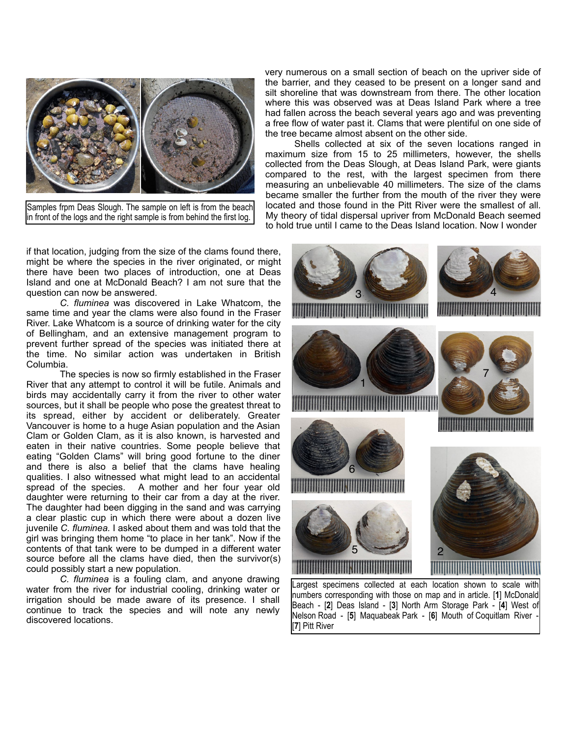

Samples frpm Deas Slough. The sample on left is from the beach in front of the logs and the right sample is from behind the first log.

if that location, judging from the size of the clams found there, might be where the species in the river originated, or might there have been two places of introduction, one at Deas Island and one at McDonald Beach? I am not sure that the question can now be answered.

 *C. fluminea* was discovered in Lake Whatcom, the same time and year the clams were also found in the Fraser River. Lake Whatcom is a source of drinking water for the city of Bellingham, and an extensive management program to prevent further spread of the species was initiated there at the time. No similar action was undertaken in British Columbia.

The species is now so firmly established in the Fraser River that any attempt to control it will be futile. Animals and birds may accidentally carry it from the river to other water sources, but it shall be people who pose the greatest threat to its spread, either by accident or deliberately. Greater Vancouver is home to a huge Asian population and the Asian Clam or Golden Clam, as it is also known, is harvested and eaten in their native countries. Some people believe that eating "Golden Clams" will bring good fortune to the diner and there is also a belief that the clams have healing qualities. I also witnessed what might lead to an accidental spread of the species. A mother and her four year old daughter were returning to their car from a day at the river. The daughter had been digging in the sand and was carrying a clear plastic cup in which there were about a dozen live juvenile *C. fluminea.* I asked about them and was told that the girl was bringing them home "to place in her tank". Now if the contents of that tank were to be dumped in a different water source before all the clams have died, then the survivor(s) could possibly start a new population.

*C. fluminea* is a fouling clam, and anyone drawing water from the river for industrial cooling, drinking water or irrigation should be made aware of its presence. I shall continue to track the species and will note any newly discovered locations.

very numerous on a small section of beach on the upriver side of the barrier, and they ceased to be present on a longer sand and silt shoreline that was downstream from there. The other location where this was observed was at Deas Island Park where a tree had fallen across the beach several years ago and was preventing a free flow of water past it. Clams that were plentiful on one side of the tree became almost absent on the other side.

 Shells collected at six of the seven locations ranged in maximum size from 15 to 25 millimeters, however, the shells collected from the Deas Slough, at Deas Island Park, were giants compared to the rest, with the largest specimen from there measuring an unbelievable 40 millimeters. The size of the clams became smaller the further from the mouth of the river they were located and those found in the Pitt River were the smallest of all. My theory of tidal dispersal upriver from McDonald Beach seemed to hold true until I came to the Deas Island location. Now I wonder



numbers corresponding with those on map and in article. [**1**] McDonald Beach - [**2**] Deas Island - [**3**] North Arm Storage Park - [**4**] West of Nelson Road - [**5**] Maquabeak Park - [**6**] Mouth of Coquitlam River - [**7**] Pitt River